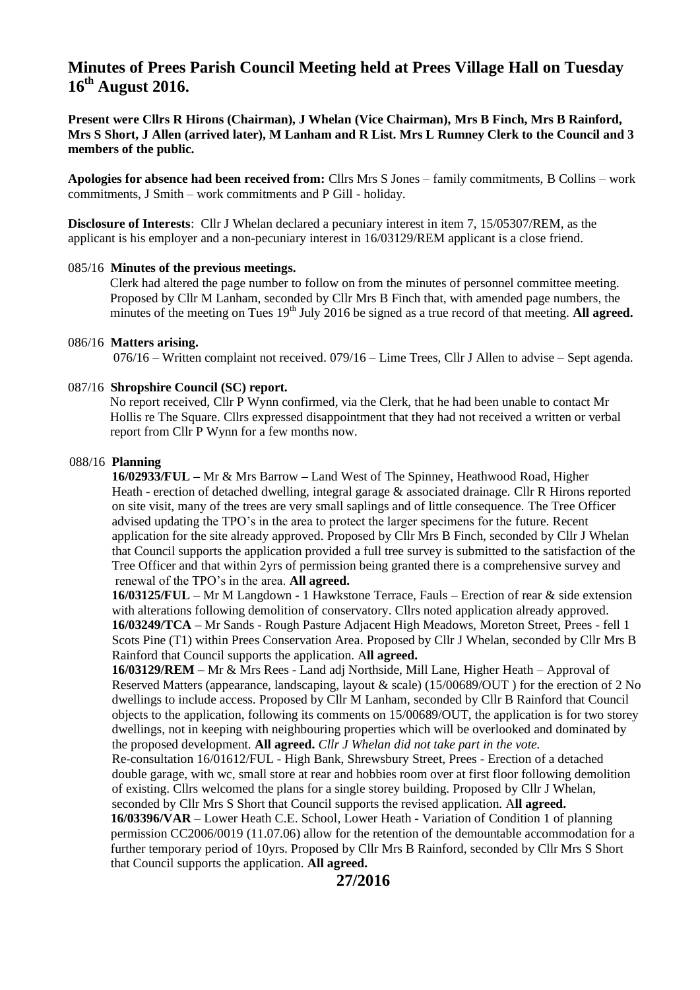# **Minutes of Prees Parish Council Meeting held at Prees Village Hall on Tuesday 16 th August 2016.**

**Present were Cllrs R Hirons (Chairman), J Whelan (Vice Chairman), Mrs B Finch, Mrs B Rainford, Mrs S Short, J Allen (arrived later), M Lanham and R List. Mrs L Rumney Clerk to the Council and 3 members of the public.**

**Apologies for absence had been received from:** Cllrs Mrs S Jones – family commitments, B Collins – work commitments, J Smith – work commitments and P Gill - holiday.

**Disclosure of Interests**: Cllr J Whelan declared a pecuniary interest in item 7, 15/05307/REM, as the applicant is his employer and a non-pecuniary interest in 16/03129/REM applicant is a close friend.

## 085/16 **Minutes of the previous meetings.**

 Clerk had altered the page number to follow on from the minutes of personnel committee meeting. Proposed by Cllr M Lanham, seconded by Cllr Mrs B Finch that, with amended page numbers, the minutes of the meeting on Tues 19<sup>th</sup> July 2016 be signed as a true record of that meeting. **All agreed.** 

#### 086/16 **Matters arising.**

076/16 – Written complaint not received. 079/16 – Lime Trees, Cllr J Allen to advise – Sept agenda.

## 087/16 **Shropshire Council (SC) report.**

No report received, Cllr P Wynn confirmed, via the Clerk, that he had been unable to contact Mr Hollis re The Square. Cllrs expressed disappointment that they had not received a written or verbal report from Cllr P Wynn for a few months now.

## 088/16 **Planning**

 **16/02933/FUL –** Mr & Mrs Barrow **–** Land West of The Spinney, Heathwood Road, Higher Heath - erection of detached dwelling, integral garage & associated drainage. Cllr R Hirons reported on site visit, many of the trees are very small saplings and of little consequence. The Tree Officer advised updating the TPO's in the area to protect the larger specimens for the future. Recent application for the site already approved. Proposed by Cllr Mrs B Finch, seconded by Cllr J Whelan that Council supports the application provided a full tree survey is submitted to the satisfaction of the Tree Officer and that within 2yrs of permission being granted there is a comprehensive survey and renewal of the TPO's in the area. **All agreed.**

 **16/03125/FUL** – Mr M Langdown - 1 Hawkstone Terrace, Fauls – Erection of rear & side extension with alterations following demolition of conservatory. Cllrs noted application already approved.  **16/03249/TCA –** Mr Sands - Rough Pasture Adjacent High Meadows, Moreton Street, Prees - fell 1 Scots Pine (T1) within Prees Conservation Area. Proposed by Cllr J Whelan, seconded by Cllr Mrs B Rainford that Council supports the application. A**ll agreed.**

 **16/03129/REM –** Mr & Mrs Rees - Land adj Northside, Mill Lane, Higher Heath – Approval of Reserved Matters (appearance, landscaping, layout & scale) (15/00689/OUT ) for the erection of 2 No dwellings to include access. Proposed by Cllr M Lanham, seconded by Cllr B Rainford that Council objects to the application, following its comments on 15/00689/OUT, the application is for two storey dwellings, not in keeping with neighbouring properties which will be overlooked and dominated by the proposed development. **All agreed.** *Cllr J Whelan did not take part in the vote.*

 Re-consultation 16/01612/FUL - High Bank, Shrewsbury Street, Prees - Erection of a detached double garage, with wc, small store at rear and hobbies room over at first floor following demolition of existing. Cllrs welcomed the plans for a single storey building. Proposed by Cllr J Whelan, seconded by Cllr Mrs S Short that Council supports the revised application. A**ll agreed.**

 **16/03396/VAR** – Lower Heath C.E. School, Lower Heath - Variation of Condition 1 of planning permission CC2006/0019 (11.07.06) allow for the retention of the demountable accommodation for a further temporary period of 10yrs. Proposed by Cllr Mrs B Rainford, seconded by Cllr Mrs S Short that Council supports the application. **All agreed.**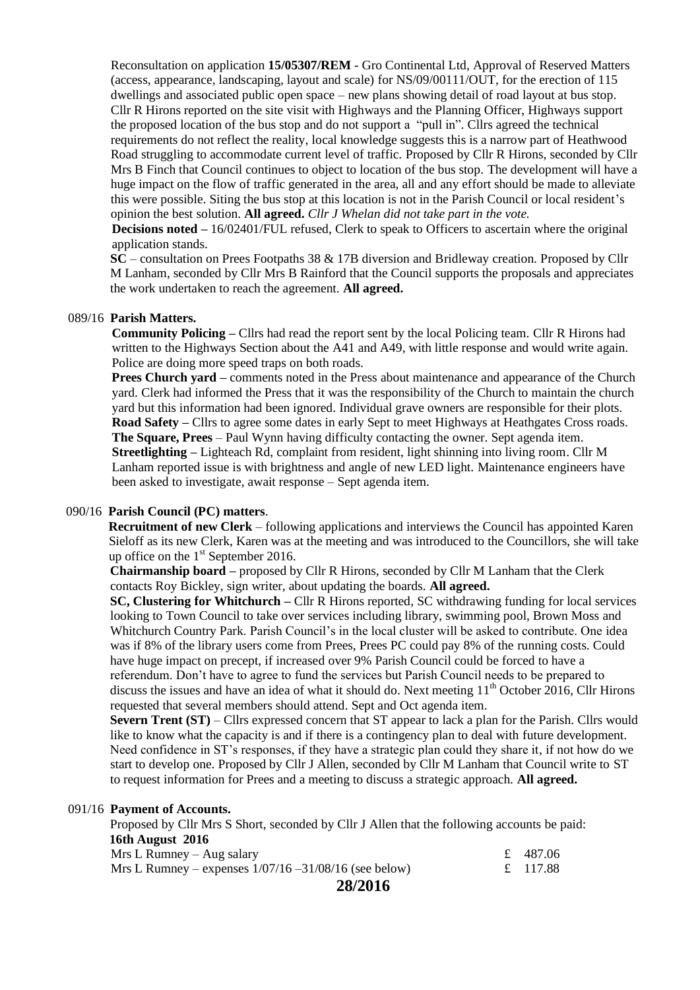Reconsultation on application **15/05307/REM** - Gro Continental Ltd, Approval of Reserved Matters (access, appearance, landscaping, layout and scale) for NS/09/00111/OUT, for the erection of 115 dwellings and associated public open space – new plans showing detail of road layout at bus stop. Cllr R Hirons reported on the site visit with Highways and the Planning Officer, Highways support the proposed location of the bus stop and do not support a "pull in". Cllrs agreed the technical requirements do not reflect the reality, local knowledge suggests this is a narrow part of Heathwood Road struggling to accommodate current level of traffic. Proposed by Cllr R Hirons, seconded by Cllr Mrs B Finch that Council continues to object to location of the bus stop. The development will have a huge impact on the flow of traffic generated in the area, all and any effort should be made to alleviate this were possible. Siting the bus stop at this location is not in the Parish Council or local resident's opinion the best solution. **All agreed.** *Cllr J Whelan did not take part in the vote.*

 **Decisions noted –** 16/02401/FUL refused, Clerk to speak to Officers to ascertain where the original application stands.

 **SC** – consultation on Prees Footpaths 38 & 17B diversion and Bridleway creation. Proposed by Cllr M Lanham, seconded by Cllr Mrs B Rainford that the Council supports the proposals and appreciates the work undertaken to reach the agreement. **All agreed.**

### 089/16 **Parish Matters.**

 **Community Policing –** Cllrs had read the report sent by the local Policing team. Cllr R Hirons had written to the Highways Section about the A41 and A49, with little response and would write again. Police are doing more speed traps on both roads.

 **Prees Church yard –** comments noted in the Press about maintenance and appearance of the Church yard. Clerk had informed the Press that it was the responsibility of the Church to maintain the church yard but this information had been ignored. Individual grave owners are responsible for their plots. **Road Safety** – Cllrs to agree some dates in early Sept to meet Highways at Heathgates Cross roads. **The Square, Prees** – Paul Wynn having difficulty contacting the owner. Sept agenda item.  **Streetlighting –** Lighteach Rd, complaint from resident, light shinning into living room. Cllr M Lanham reported issue is with brightness and angle of new LED light. Maintenance engineers have been asked to investigate, await response – Sept agenda item.

#### 090/16 **Parish Council (PC) matters**.

 **Recruitment of new Clerk** – following applications and interviews the Council has appointed Karen Sieloff as its new Clerk, Karen was at the meeting and was introduced to the Councillors, she will take up office on the  $1<sup>st</sup>$  September 2016.

 **Chairmanship board –** proposed by Cllr R Hirons, seconded by Cllr M Lanham that the Clerk contacts Roy Bickley, sign writer, about updating the boards. **All agreed.**

 **SC, Clustering for Whitchurch –** Cllr R Hirons reported, SC withdrawing funding for local services looking to Town Council to take over services including library, swimming pool, Brown Moss and Whitchurch Country Park. Parish Council's in the local cluster will be asked to contribute. One idea was if 8% of the library users come from Prees, Prees PC could pay 8% of the running costs. Could have huge impact on precept, if increased over 9% Parish Council could be forced to have a referendum. Don't have to agree to fund the services but Parish Council needs to be prepared to discuss the issues and have an idea of what it should do. Next meeting  $11<sup>th</sup>$  October 2016, Cllr Hirons requested that several members should attend. Sept and Oct agenda item.

 **Severn Trent (ST)** – Cllrs expressed concern that ST appear to lack a plan for the Parish. Cllrs would like to know what the capacity is and if there is a contingency plan to deal with future development. Need confidence in ST's responses, if they have a strategic plan could they share it, if not how do we start to develop one. Proposed by Cllr J Allen, seconded by Cllr M Lanham that Council write to ST to request information for Prees and a meeting to discuss a strategic approach. **All agreed.**

### 091/16 **Payment of Accounts.**

Proposed by Cllr Mrs S Short, seconded by Cllr J Allen that the following accounts be paid:  **16th August 2016** 

| 28/2016                                                  |          |
|----------------------------------------------------------|----------|
| Mrs L Rumney – expenses $1/07/16 - 31/08/16$ (see below) | £ 117.88 |
| $Mrs L$ Rumney – Aug salary                              | £ 487.06 |